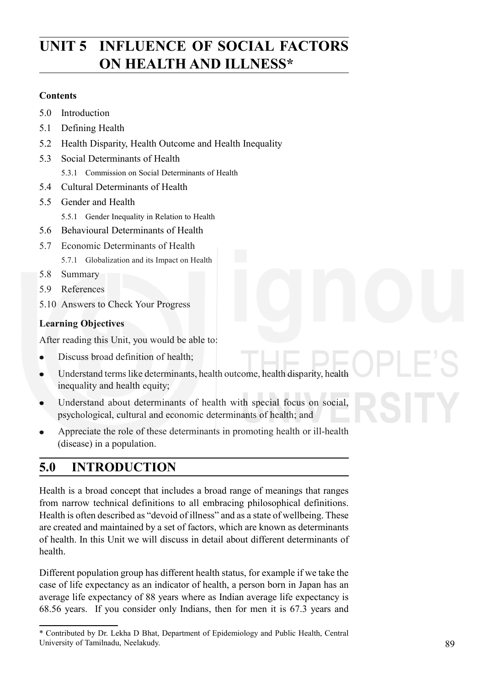# **INIT 5 INFLUENCE OF SOCIAL FACTORS ON HEALTH AND ILLNESS\***

### **Contents**

- 5.0 Introduction
- 5.1 Defining Health
- 5.2 Health Disparity, Health Outcome and Health Inequality
- 5.3 Social Determinants of Health
	- 5.3.1 Commission on Social Determinants of Health
- 5.4 Cultural Determinants of Health
- 5.5 Gender and Health
	- 5.5.1 Gender Inequality in Relation to Health
- 5.6 Behavioural Determinants of Health
- 5.7 Economic Determinants of Health
	- 5.7.1 Globalization and its Impact on Health
- 5.8 Summary
- 5.9 References
- 5.10 Answers to Check Your Progress

### **Learning Objectives**

After reading this Unit, you would be able to:

- Discuss broad definition of health;  $\bullet$
- Understand terms like determinants, health outcome, health disparity, health  $\bullet$ inequality and health equity;
- Understand about determinants of health with special focus on social, psychological, cultural and economic determinants of health; and
- Appreciate the role of these determinants in promoting health or ill-health (disease) in a population.

# **5.0 INTRODUCTION**

Health is a broad concept that includes a broad range of meanings that ranges from narrow technical definitions to all embracing philosophical definitions. Health is often described as "devoid of illness" and as a state of wellbeing. These are created and maintained by a set of factors, which are known as determinants of health. In this Unit we will discuss in detail about different determinants of health.

Different population group has different health status, for example if we take the case of life expectancy as an indicator of health, a person born in Japan has an average life expectancy of 88 years where as Indian average life expectancy is 68.56 years. If you consider only Indians, then for men it is 67.3 years and

<sup>\*</sup> Contributed by Dr. Lekha D Bhat, Department of Epidemiology and Public Health, Central University of Tamilnadu, Neelakudy.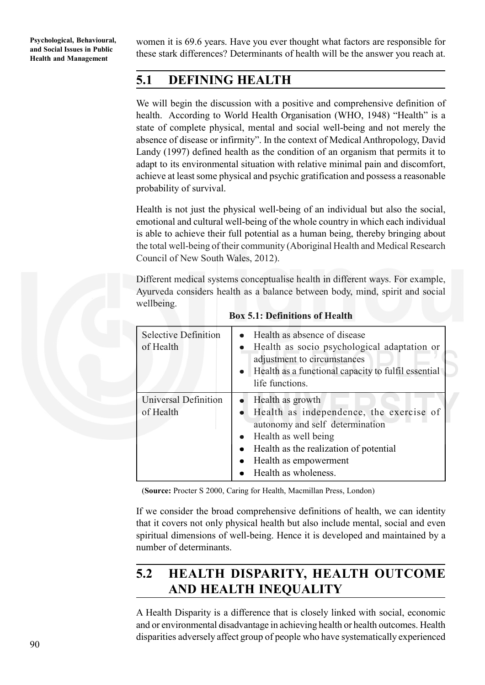women it is 69.6 years. Have you ever thought what factors are responsible for these stark differences? Determinants of health will be the answer you reach at.

## **5.1 DEFINING HEALTH**

We will begin the discussion with a positive and comprehensive definition of health. According to World Health Organisation (WHO, 1948) "Health" is a state of complete physical, mental and social well-being and not merely the absence of disease or infirmity". In the context of Medical Anthropology, David Landy (1997) defined health as the condition of an organism that permits it to adapt to its environmental situation with relative minimal pain and discomfort, achieve at least some physical and psychic gratification and possess a reasonable probability of survival.

Health is not just the physical well-being of an individual but also the social, emotional and cultural well-being of the whole country in which each individual is able to achieve their full potential as a human being, thereby bringing about the total well-being of their community (Aboriginal Health and Medical Research Council of New South Wales, 2012).

Different medical systems conceptualise health in different ways. For example, Ayurveda considers health as a balance between body, mind, spirit and social wellbeing.

| <b>Selective Definition</b><br>of Health | • Health as absence of disease<br>Health as socio psychological adaptation or<br>adjustment to circumstances<br>• Health as a functional capacity to fulfil essential<br>life functions.                              |
|------------------------------------------|-----------------------------------------------------------------------------------------------------------------------------------------------------------------------------------------------------------------------|
| Universal Definition<br>of Health        | • Health as growth<br>• Health as independence, the exercise of<br>autonomy and self determination<br>Health as well being<br>Health as the realization of potential<br>Health as empowerment<br>Health as wholeness. |

|  | <b>Box 5.1: Definitions of Health</b> |  |
|--|---------------------------------------|--|
|--|---------------------------------------|--|

(**Source:** Procter S 2000, Caring for Health, Macmillan Press, London)

If we consider the broad comprehensive definitions of health, we can identity that it covers not only physical health but also include mental, social and even spiritual dimensions of well-being. Hence it is developed and maintained by a number of determinants.

# **5.2 HEALTH DISPARITY, HEALTH OUTCOME AND HEALTH INEQUALITY**

A Health Disparity is a difference that is closely linked with social, economic and or environmental disadvantage in achieving health or health outcomes. Health disparities adversely affect group of people who have systematically experienced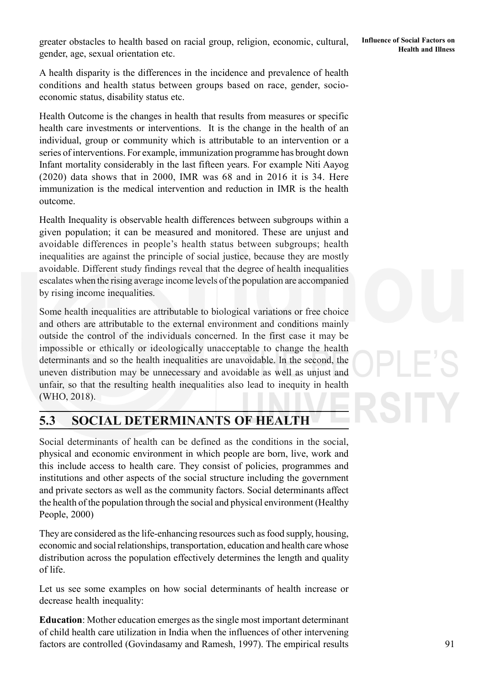greater obstacles to health based on racial group, religion, economic, cultural, gender, age, sexual orientation etc.

A health disparity is the differences in the incidence and prevalence of health conditions and health status between groups based on race, gender, socioeconomic status, disability status etc.

Health Outcome is the changes in health that results from measures or specific health care investments or interventions. It is the change in the health of an individual, group or community which is attributable to an intervention or a series of interventions. For example, immunization programme has brought down Infant mortality considerably in the last fifteen years. For example Niti Aayog (2020) data shows that in 2000, IMR was 68 and in 2016 it is 34. Here immunization is the medical intervention and reduction in IMR is the health outcome.

Health Inequality is observable health differences between subgroups within a given population; it can be measured and monitored. These are unjust and avoidable differences in people's health status between subgroups; health inequalities are against the principle of social justice, because they are mostly avoidable. Different study findings reveal that the degree of health inequalities escalates when the rising average income levels of the population are accompanied by rising income inequalities.

Some health inequalities are attributable to biological variations or free choice and others are attributable to the external environment and conditions mainly outside the control of the individuals concerned. In the first case it may be impossible or ethically or ideologically unacceptable to change the health determinants and so the health inequalities are unavoidable. In the second, the uneven distribution may be unnecessary and avoidable as well as unjust and unfair, so that the resulting health inequalities also lead to inequity in health (WHO, 2018).

# **5.3 SOCIAL DETERMINANTS OF HEALTH**

Social determinants of health can be defined as the conditions in the social, physical and economic environment in which people are born, live, work and this include access to health care. They consist of policies, programmes and institutions and other aspects of the social structure including the government and private sectors as well as the community factors. Social determinants affect the health of the population through the social and physical environment (Healthy People, 2000)

They are considered as the life-enhancing resources such as food supply, housing, economic and social relationships, transportation, education and health care whose distribution across the population effectively determines the length and quality of life.

Let us see some examples on how social determinants of health increase or decrease health inequality:

**Education**: Mother education emerges as the single most important determinant of child health care utilization in India when the influences of other intervening factors are controlled (Govindasamy and Ramesh, 1997). The empirical results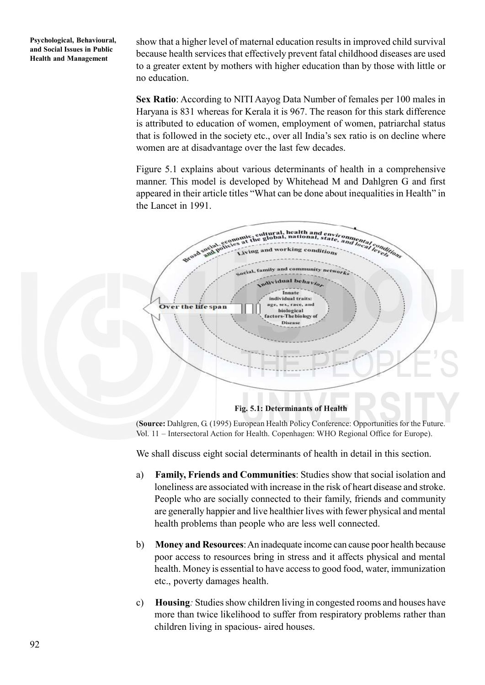show that a higher level of maternal education results in improved child survival because health services that effectively prevent fatal childhood diseases are used to a greater extent by mothers with higher education than by those with little or no education.

**Sex Ratio**: According to NITI Aayog Data Number of females per 100 males in Haryana is 831 whereas for Kerala it is 967. The reason for this stark difference is attributed to education of women, employment of women, patriarchal status that is followed in the society etc., over all India's sex ratio is on decline where women are at disadvantage over the last few decades.

Figure 5.1 explains about various determinants of health in a comprehensive manner. This model is developed by Whitehead M and Dahlgren G and first appeared in their article titles "What can be done about inequalities in Health" in the Lancet in 1991.



**Fig. 5.1: Determinants of Health**

(**Source:** Dahlgren, G. (1995) European Health Policy Conference: Opportunities for the Future. Vol. 11 – Intersectoral Action for Health. Copenhagen: WHO Regional Office for Europe).

We shall discuss eight social determinants of health in detail in this section.

- a) **Family, Friends and Communities**: Studies show that social isolation and loneliness are associated with increase in the risk of heart disease and stroke. People who are socially connected to their family, friends and community are generally happier and live healthier lives with fewer physical and mental health problems than people who are less well connected.
- b) **Money and Resources**: An inadequate income can cause poor health because poor access to resources bring in stress and it affects physical and mental health. Money is essential to have access to good food, water, immunization etc., poverty damages health.
- c) **Housing***:* Studies show children living in congested rooms and houses have more than twice likelihood to suffer from respiratory problems rather than children living in spacious- aired houses.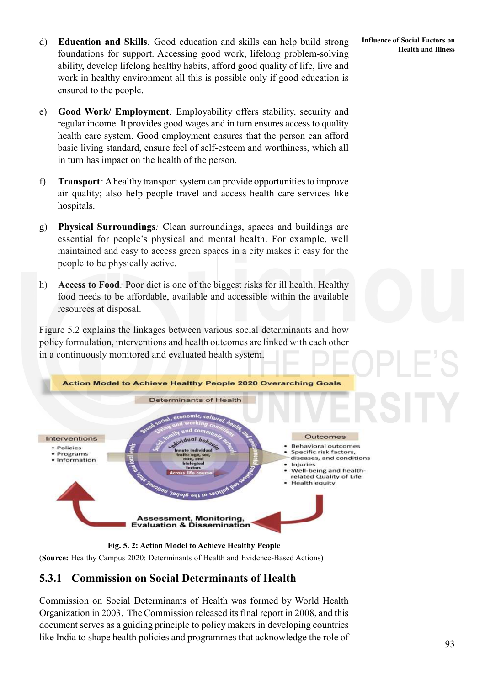- d) **Education and Skills***:* Good education and skills can help build strong foundations for support. Accessing good work, lifelong problem-solving ability, develop lifelong healthy habits, afford good quality of life, live and work in healthy environment all this is possible only if good education is ensured to the people.
- e) **Good Work/ Employment***:* Employability offers stability, security and regular income. It provides good wages and in turn ensures access to quality health care system. Good employment ensures that the person can afford basic living standard, ensure feel of self-esteem and worthiness, which all in turn has impact on the health of the person.
- f) **Transport***:* A healthy transport system can provide opportunities to improve air quality; also help people travel and access health care services like hospitals.
- g) **Physical Surroundings***:* Clean surroundings, spaces and buildings are essential for people's physical and mental health. For example, well maintained and easy to access green spaces in a city makes it easy for the people to be physically active.
- h) **Access to Food***:* Poor diet is one of the biggest risks for ill health. Healthy food needs to be affordable, available and accessible within the available resources at disposal.

Figure 5.2 explains the linkages between various social determinants and how policy formulation, interventions and health outcomes are linked with each other in a continuously monitored and evaluated health system.





(**Source:** Healthy Campus 2020: Determinants of Health and Evidence-Based Actions)

## **5.3.1 Commission on Social Determinants of Health**

Commission on Social Determinants of Health was formed by World Health Organization in 2003. The Commission released its final report in 2008, and this document serves as a guiding principle to policy makers in developing countries like India to shape health policies and programmes that acknowledge the role of

#### **Influence of Social Factors on Health and Illness**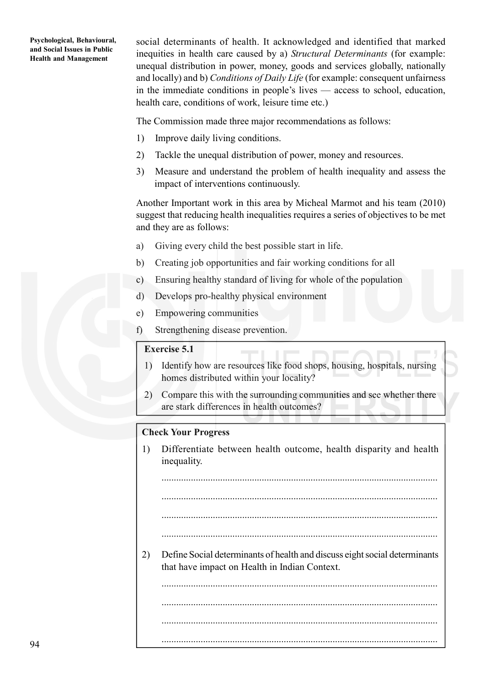social determinants of health. It acknowledged and identified that marked inequities in health care caused by a) *Structural Determinants* (for example: unequal distribution in power, money, goods and services globally, nationally and locally) and b) *Conditions of Daily Life* (for example: consequent unfairness in the immediate conditions in people's lives — access to school, education, health care, conditions of work, leisure time etc.)

The Commission made three major recommendations as follows:

- 1) Improve daily living conditions.
- 2) Tackle the unequal distribution of power, money and resources.
- 3) Measure and understand the problem of health inequality and assess the impact of interventions continuously.

Another Important work in this area by Micheal Marmot and his team (2010) suggest that reducing health inequalities requires a series of objectives to be met and they are as follows:

- a) Giving every child the best possible start in life.
- b) Creating job opportunities and fair working conditions for all
- c) Ensuring healthy standard of living for whole of the population
- d) Develops pro-healthy physical environment
- e) Empowering communities
- f) Strengthening disease prevention.

### **Exercise 5.1**

- 1) Identify how are resources like food shops, housing, hospitals, nursing homes distributed within your locality?
- 2) Compare this with the surrounding communities and see whether there are stark differences in health outcomes?

#### **Check Your Progress**

1) Differentiate between health outcome, health disparity and health inequality.

................................................................................................................. .................................................................................................................

.................................................................................................................

.................................................................................................................

.................................................................................................................

.................................................................................................................

.................................................................................................................

.................................................................................................................

2) Define Social determinants of health and discuss eight social determinants that have impact on Health in Indian Context.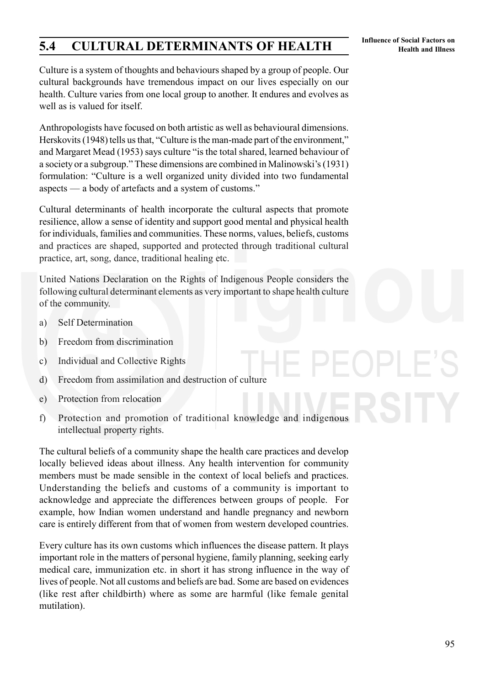# **Influence of Social Factors on**<br> **Influence of Social Factors on**<br> **Influence of Social Factors on**<br> **Influence of Social Factors on**

Culture is a system of thoughts and behaviours shaped by a group of people. Our cultural backgrounds have tremendous impact on our lives especially on our health. Culture varies from one local group to another. It endures and evolves as well as is valued for itself.

Anthropologists have focused on both artistic as well as behavioural dimensions. Herskovits (1948) tells us that, "Culture is the man-made part of the environment," and Margaret Mead (1953) says culture "is the total shared, learned behaviour of a society or a subgroup." These dimensions are combined in Malinowski's (1931) formulation: "Culture is a well organized unity divided into two fundamental aspects — a body of artefacts and a system of customs."

Cultural determinants of health incorporate the cultural aspects that promote resilience, allow a sense of identity and support good mental and physical health for individuals, families and communities. These norms, values, beliefs, customs and practices are shaped, supported and protected through traditional cultural practice, art, song, dance, traditional healing etc.

United Nations Declaration on the Rights of Indigenous People considers the following cultural determinant elements as very important to shape health culture of the community.

- a) Self Determination
- b) Freedom from discrimination
- c) Individual and Collective Rights
- d) Freedom from assimilation and destruction of culture
- e) Protection from relocation
- f) Protection and promotion of traditional knowledge and indigenous intellectual property rights.

The cultural beliefs of a community shape the health care practices and develop locally believed ideas about illness. Any health intervention for community members must be made sensible in the context of local beliefs and practices. Understanding the beliefs and customs of a community is important to acknowledge and appreciate the differences between groups of people. For example, how Indian women understand and handle pregnancy and newborn care is entirely different from that of women from western developed countries.

Every culture has its own customs which influences the disease pattern. It plays important role in the matters of personal hygiene, family planning, seeking early medical care, immunization etc. in short it has strong influence in the way of lives of people. Not all customs and beliefs are bad. Some are based on evidences (like rest after childbirth) where as some are harmful (like female genital mutilation).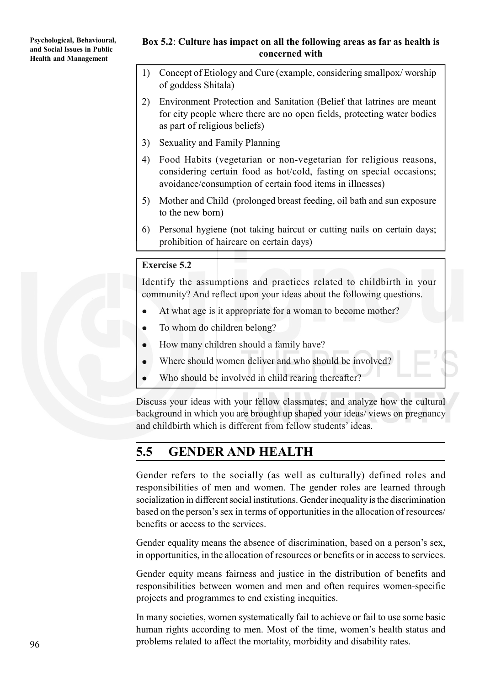### **Box 5.2**: **Culture has impact on all the following areas as far as health is concerned with**

- 1) Concept of Etiology and Cure (example, considering smallpox/ worship of goddess Shitala)
- 2) Environment Protection and Sanitation (Belief that latrines are meant for city people where there are no open fields, protecting water bodies as part of religious beliefs)
- 3) Sexuality and Family Planning
- 4) Food Habits (vegetarian or non-vegetarian for religious reasons, considering certain food as hot/cold, fasting on special occasions; avoidance/consumption of certain food items in illnesses)
- 5) Mother and Child (prolonged breast feeding, oil bath and sun exposure to the new born)
- 6) Personal hygiene (not taking haircut or cutting nails on certain days; prohibition of haircare on certain days)

### **Exercise 5.2**

Identify the assumptions and practices related to childbirth in your community? And reflect upon your ideas about the following questions.

- At what age is it appropriate for a woman to become mother?
- To whom do children belong?
- How many children should a family have?  $\bullet$
- Where should women deliver and who should be involved?  $\bullet$
- Who should be involved in child rearing thereafter?

Discuss your ideas with your fellow classmates; and analyze how the cultural background in which you are brought up shaped your ideas/ views on pregnancy and childbirth which is different from fellow students' ideas.

# **5.5 GENDER AND HEALTH**

Gender refers to the socially (as well as culturally) defined roles and responsibilities of men and women. The gender roles are learned through socialization in different social institutions. Gender inequality is the discrimination based on the person's sex in terms of opportunities in the allocation of resources/ benefits or access to the services.

Gender equality means the absence of discrimination, based on a person's sex, in opportunities, in the allocation of resources or benefits or in access to services.

Gender equity means fairness and justice in the distribution of benefits and responsibilities between women and men and often requires women-specific projects and programmes to end existing inequities.

In many societies, women systematically fail to achieve or fail to use some basic human rights according to men. Most of the time, women's health status and problems related to affect the mortality, morbidity and disability rates.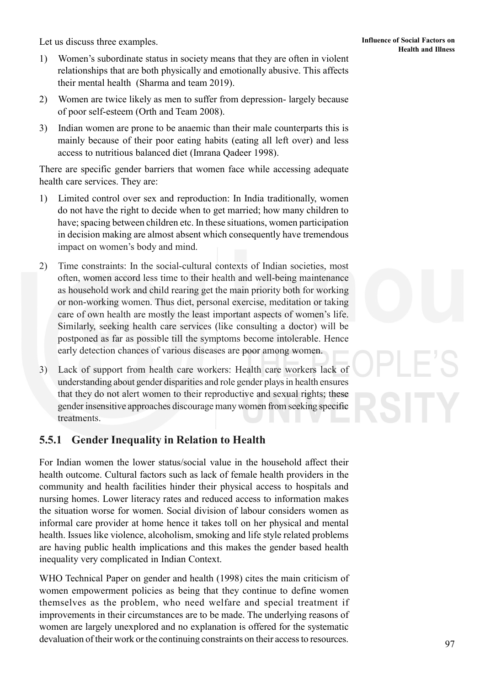Let us discuss three examples.

- 1) Women's subordinate status in society means that they are often in violent relationships that are both physically and emotionally abusive. This affects their mental health (Sharma and team 2019).
- 2) Women are twice likely as men to suffer from depression- largely because of poor self-esteem (Orth and Team 2008).
- 3) Indian women are prone to be anaemic than their male counterparts this is mainly because of their poor eating habits (eating all left over) and less access to nutritious balanced diet (Imrana Qadeer 1998).

There are specific gender barriers that women face while accessing adequate health care services. They are:

- 1) Limited control over sex and reproduction: In India traditionally, women do not have the right to decide when to get married; how many children to have; spacing between children etc. In these situations, women participation in decision making are almost absent which consequently have tremendous impact on women's body and mind.
- 2) Time constraints: In the social-cultural contexts of Indian societies, most often, women accord less time to their health and well-being maintenance as household work and child rearing get the main priority both for working or non-working women. Thus diet, personal exercise, meditation or taking care of own health are mostly the least important aspects of women's life. Similarly, seeking health care services (like consulting a doctor) will be postponed as far as possible till the symptoms become intolerable. Hence early detection chances of various diseases are poor among women.
- 3) Lack of support from health care workers: Health care workers lack of understanding about gender disparities and role gender plays in health ensures that they do not alert women to their reproductive and sexual rights; these gender insensitive approaches discourage many women from seeking specific **treatments**

## **5.5.1 Gender Inequality in Relation to Health**

For Indian women the lower status/social value in the household affect their health outcome. Cultural factors such as lack of female health providers in the community and health facilities hinder their physical access to hospitals and nursing homes. Lower literacy rates and reduced access to information makes the situation worse for women. Social division of labour considers women as informal care provider at home hence it takes toll on her physical and mental health. Issues like violence, alcoholism, smoking and life style related problems are having public health implications and this makes the gender based health inequality very complicated in Indian Context.

WHO Technical Paper on gender and health (1998) cites the main criticism of women empowerment policies as being that they continue to define women themselves as the problem, who need welfare and special treatment if improvements in their circumstances are to be made. The underlying reasons of women are largely unexplored and no explanation is offered for the systematic devaluation of their work or the continuing constraints on their access to resources.

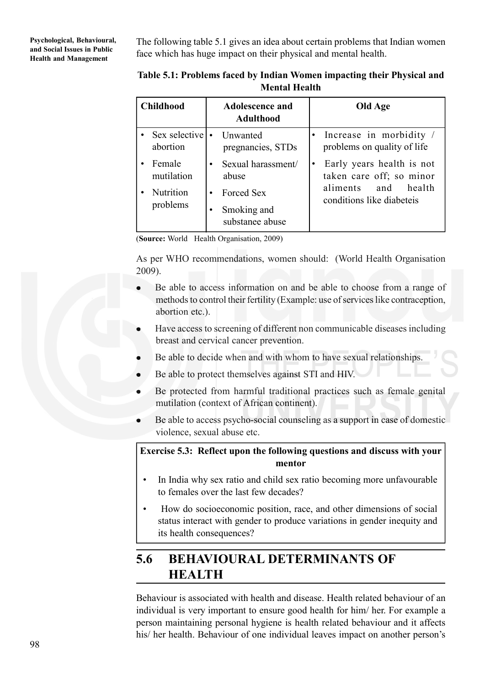The following table 5.1 gives an idea about certain problems that Indian women face which has huge impact on their physical and mental health.

| <b>Childhood</b>                              | Adolescence and<br><b>Adulthood</b>                                                      | Old Age                                                                                                           |
|-----------------------------------------------|------------------------------------------------------------------------------------------|-------------------------------------------------------------------------------------------------------------------|
| Sex selective<br>abortion                     | Unwanted<br>$\bullet$<br>pregnancies, STDs                                               | Increase in morbidity /<br>٠<br>problems on quality of life                                                       |
| Female<br>mutilation<br>Nutrition<br>problems | Sexual harassment/<br>$\bullet$<br>abuse<br>Forced Sex<br>Smoking and<br>substanee abuse | Early years health is not<br>٠<br>taken care off; so minor<br>aliments and<br>health<br>conditions like diabeteis |

**Table 5.1: Problems faced by Indian Women impacting their Physical and Mental Health**

(**Source:** World Health Organisation, 2009)

As per WHO recommendations, women should: (World Health Organisation 2009).

- Be able to access information on and be able to choose from a range of methods to control their fertility (Example: use of services like contraception, abortion etc.).
- Have access to screening of different non communicable diseases including breast and cervical cancer prevention.
- Be able to decide when and with whom to have sexual relationships.
- Be able to protect themselves against STI and HIV.
- $\bullet$ Be protected from harmful traditional practices such as female genital mutilation (context of African continent).
- Be able to access psycho-social counseling as a support in case of domestic violence, sexual abuse etc.

### **Exercise 5.3: Reflect upon the following questions and discuss with your mentor**

- In India why sex ratio and child sex ratio becoming more unfavourable to females over the last few decades?
- How do socioeconomic position, race, and other dimensions of social status interact with gender to produce variations in gender inequity and its health consequences?

# **5.6 BEHAVIOURAL DETERMINANTS OF HEALTH**

Behaviour is associated with health and disease. Health related behaviour of an individual is very important to ensure good health for him/ her. For example a person maintaining personal hygiene is health related behaviour and it affects his/ her health. Behaviour of one individual leaves impact on another person's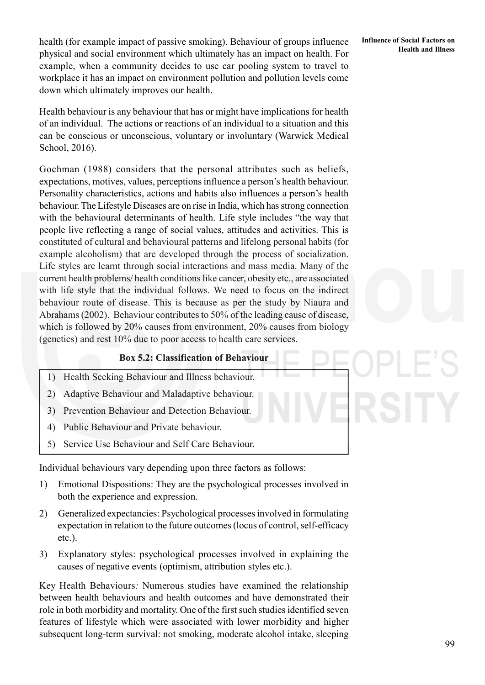health (for example impact of passive smoking). Behaviour of groups influence physical and social environment which ultimately has an impact on health. For example, when a community decides to use car pooling system to travel to workplace it has an impact on environment pollution and pollution levels come down which ultimately improves our health.

Health behaviour is any behaviour that has or might have implications for health of an individual. The actions or reactions of an individual to a situation and this can be conscious or unconscious, voluntary or involuntary (Warwick Medical School, 2016).

Gochman (1988) considers that the personal attributes such as beliefs, expectations, motives, values, perceptions influence a person's health behaviour. Personality characteristics, actions and habits also influences a person's health behaviour. The Lifestyle Diseases are on rise in India, which has strong connection with the behavioural determinants of health. Life style includes "the way that people live reflecting a range of social values, attitudes and activities. This is constituted of cultural and behavioural patterns and lifelong personal habits (for example alcoholism) that are developed through the process of socialization. Life styles are learnt through social interactions and mass media. Many of the current health problems/ health conditions like cancer, obesity etc., are associated with life style that the individual follows. We need to focus on the indirect behaviour route of disease. This is because as per the study by Niaura and Abrahams (2002). Behaviour contributes to 50% of the leading cause of disease, which is followed by 20% causes from environment, 20% causes from biology (genetics) and rest 10% due to poor access to health care services.

### **Box 5.2: Classification of Behaviour**

- 1) Health Seeking Behaviour and Illness behaviour.
- 2) Adaptive Behaviour and Maladaptive behaviour.
- 3) Prevention Behaviour and Detection Behaviour.
- 4) Public Behaviour and Private behaviour.
- 5) Service Use Behaviour and Self Care Behaviour.

Individual behaviours vary depending upon three factors as follows:

- 1) Emotional Dispositions: They are the psychological processes involved in both the experience and expression.
- 2) Generalized expectancies: Psychological processes involved in formulating expectation in relation to the future outcomes (locus of control, self-efficacy etc.).
- 3) Explanatory styles: psychological processes involved in explaining the causes of negative events (optimism, attribution styles etc.).

Key Health Behaviours*:* Numerous studies have examined the relationship between health behaviours and health outcomes and have demonstrated their role in both morbidity and mortality. One of the first such studies identified seven features of lifestyle which were associated with lower morbidity and higher subsequent long-term survival: not smoking, moderate alcohol intake, sleeping

#### **Influence of Social Factors on Health and Illness**

99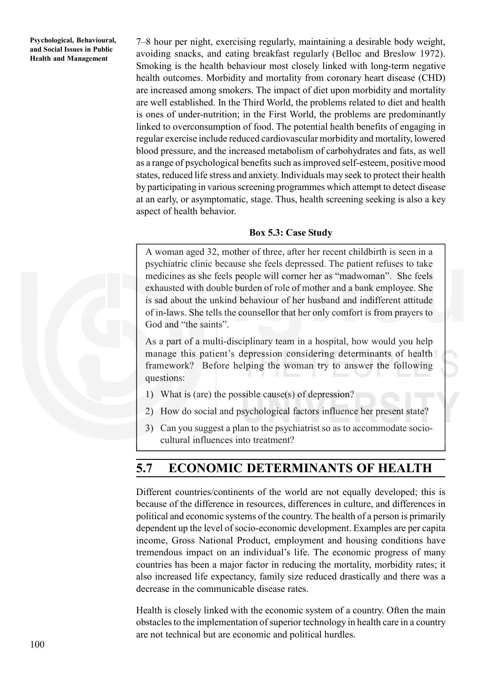7–8 hour per night, exercising regularly, maintaining a desirable body weight, avoiding snacks, and eating breakfast regularly (Belloc and Breslow 1972). Smoking is the health behaviour most closely linked with long-term negative health outcomes. Morbidity and mortality from coronary heart disease (CHD) are increased among smokers. The impact of diet upon morbidity and mortality are well established. In the Third World, the problems related to diet and health is ones of under-nutrition; in the First World, the problems are predominantly linked to overconsumption of food. The potential health benefits of engaging in regular exercise include reduced cardiovascular morbidity and mortality, lowered blood pressure, and the increased metabolism of carbohydrates and fats, as well as a range of psychological benefits such as improved self-esteem, positive mood states, reduced life stress and anxiety. Individuals may seek to protect their health by participating in various screening programmes which attempt to detect disease at an early, or asymptomatic, stage. Thus, health screening seeking is also a key aspect of health behavior.

### **Box 5.3: Case Study**

A woman aged 32, mother of three, after her recent childbirth is seen in a psychiatric clinic because she feels depressed. The patient refuses to take medicines as she feels people will corner her as "madwoman". She feels exhausted with double burden of role of mother and a bank employee. She is sad about the unkind behaviour of her husband and indifferent attitude of in-laws. She tells the counsellor that her only comfort is from prayers to God and "the saints".

As a part of a multi-disciplinary team in a hospital, how would you help manage this patient's depression considering determinants of health framework? Before helping the woman try to answer the following questions:

- 1) What is (are) the possible cause(s) of depression?
- 2) How do social and psychological factors influence her present state?
- 3) Can you suggest a plan to the psychiatrist so as to accommodate sociocultural influences into treatment?

## **5.7 ECONOMIC DETERMINANTS OF HEALTH**

Different countries/continents of the world are not equally developed; this is because of the difference in resources, differences in culture, and differences in political and economic systems of the country. The health of a person is primarily dependent up the level of socio-economic development. Examples are per capita income, Gross National Product, employment and housing conditions have tremendous impact on an individual's life. The economic progress of many countries has been a major factor in reducing the mortality, morbidity rates; it also increased life expectancy, family size reduced drastically and there was a decrease in the communicable disease rates.

Health is closely linked with the economic system of a country. Often the main obstacles to the implementation of superior technology in health care in a country are not technical but are economic and political hurdles.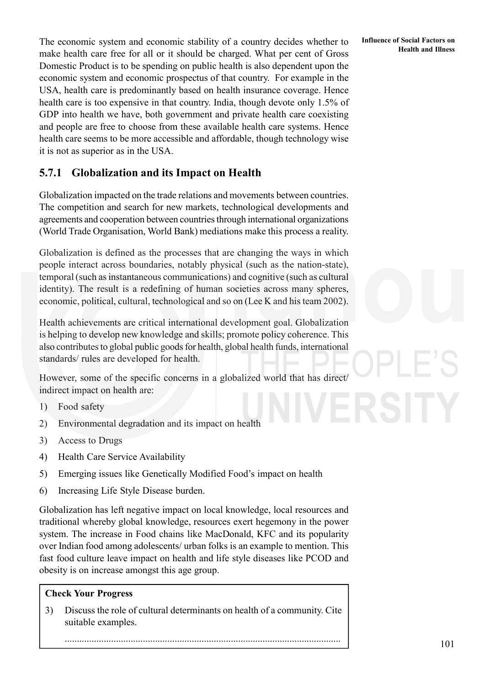The economic system and economic stability of a country decides whether to make health care free for all or it should be charged. What per cent of Gross Domestic Product is to be spending on public health is also dependent upon the economic system and economic prospectus of that country. For example in the USA, health care is predominantly based on health insurance coverage. Hence health care is too expensive in that country. India, though devote only 1.5% of GDP into health we have, both government and private health care coexisting and people are free to choose from these available health care systems. Hence health care seems to be more accessible and affordable, though technology wise it is not as superior as in the USA.

## **5.7.1 Globalization and its Impact on Health**

Globalization impacted on the trade relations and movements between countries. The competition and search for new markets, technological developments and agreements and cooperation between countries through international organizations (World Trade Organisation, World Bank) mediations make this process a reality.

Globalization is defined as the processes that are changing the ways in which people interact across boundaries, notably physical (such as the nation-state), temporal (such as instantaneous communications) and cognitive (such as cultural identity). The result is a redefining of human societies across many spheres, economic, political, cultural, technological and so on (Lee K and his team 2002).

Health achievements are critical international development goal. Globalization is helping to develop new knowledge and skills; promote policy coherence. This also contributes to global public goods for health, global health funds, international standards/ rules are developed for health.

However, some of the specific concerns in a globalized world that has direct/ indirect impact on health are:

- 1) Food safety
- 2) Environmental degradation and its impact on health
- 3) Access to Drugs
- 4) Health Care Service Availability
- 5) Emerging issues like Genetically Modified Food's impact on health
- 6) Increasing Life Style Disease burden.

Globalization has left negative impact on local knowledge, local resources and traditional whereby global knowledge, resources exert hegemony in the power system. The increase in Food chains like MacDonald, KFC and its popularity over Indian food among adolescents/ urban folks is an example to mention. This fast food culture leave impact on health and life style diseases like PCOD and obesity is on increase amongst this age group.

### **Check Your Progress**

3) Discuss the role of cultural determinants on health of a community. Cite suitable examples.

.................................................................................................................

#### **Influence of Social Factors on Health and Illness**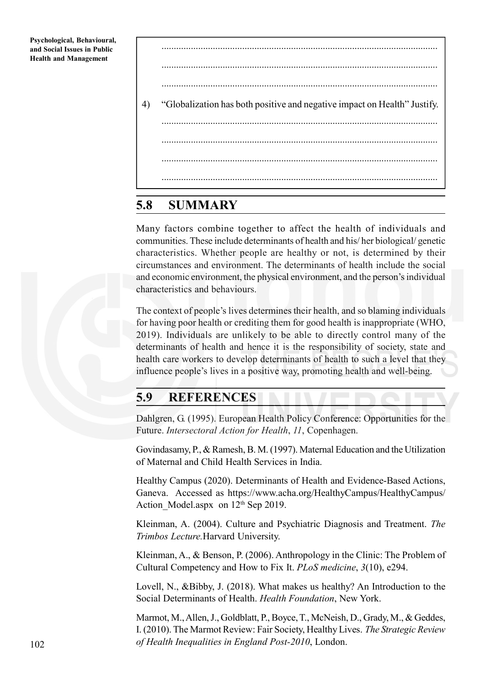................................................................................................................. ................................................................................................................. ................................................................................................................. 4) "Globalization has both positive and negative impact on Health" Justify. ................................................................................................................. ................................................................................................................. ................................................................................................................. .................................................................................................................

# **5.8 SUMMARY**

Many factors combine together to affect the health of individuals and communities. These include determinants of health and his/ her biological/ genetic characteristics. Whether people are healthy or not, is determined by their circumstances and environment. The determinants of health include the social and economic environment, the physical environment, and the person's individual characteristics and behaviours.

The context of people's lives determines their health, and so blaming individuals for having poor health or crediting them for good health is inappropriate (WHO, 2019). Individuals are unlikely to be able to directly control many of the determinants of health and hence it is the responsibility of society, state and health care workers to develop determinants of health to such a level that they influence people's lives in a positive way, promoting health and well-being.

# **5.9 REFERENCES**

Dahlgren, G. (1995). European Health Policy Conference: Opportunities for the Future. *Intersectoral Action for Health*, *11*, Copenhagen.

Govindasamy, P., & Ramesh, B. M. (1997). Maternal Education and the Utilization of Maternal and Child Health Services in India.

Healthy Campus (2020). Determinants of Health and Evidence-Based Actions, Ganeva. Accessed as https://www.acha.org/HealthyCampus/HealthyCampus/ Action Model.aspx on  $12<sup>th</sup>$  Sep 2019.

Kleinman, A. (2004). Culture and Psychiatric Diagnosis and Treatment. *The Trimbos Lecture.*Harvard University.

Kleinman, A., & Benson, P. (2006). Anthropology in the Clinic: The Problem of Cultural Competency and How to Fix It. *PLoS medicine*, *3*(10), e294.

Lovell, N., &Bibby, J. (2018). What makes us healthy? An Introduction to the Social Determinants of Health. *Health Foundation*, New York.

Marmot, M., Allen, J., Goldblatt, P., Boyce, T., McNeish, D., Grady, M., & Geddes, I. (2010). The Marmot Review: Fair Society, Healthy Lives. *The Strategic Review of Health Inequalities in England Post-2010*, London.